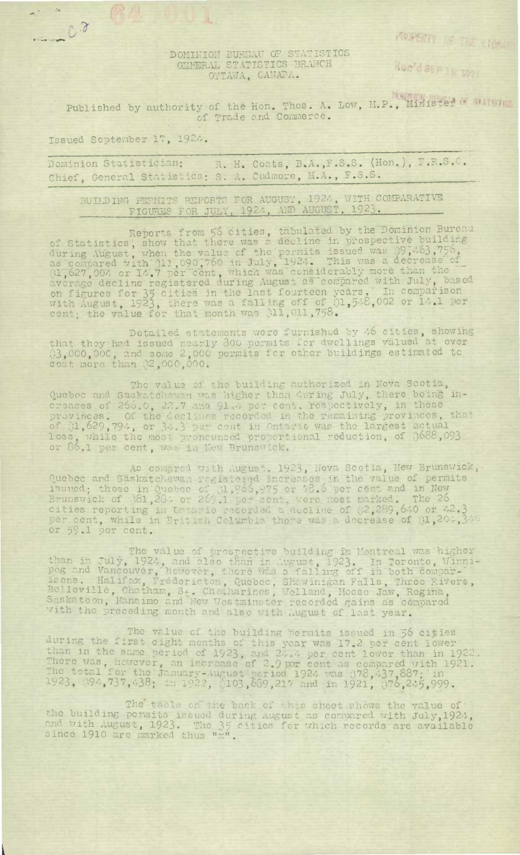PRIPERTY OF THE LIGHT

## DOMINION BURLAU OF STATISTICS GENERAL STATISTICS BRANCH OTTAWA, CANAPA.

AUC'D SEP 15 192

Published by authority of the Hon. Thos. A. Low, H.P., Minister of Hong

Issued September 17, 1924.

 $(B)$ 

 $-20.3$ 

R. H. Coats, B.A., F.S.S. (Hon.), F.R.S.C. Dominion Statistician: Chief, General Statistics: S. A. Cudmore, M.A., F.S.S.

BUILDING PERMITS REPORTS FOR AUGUST, 1924, WITH COMPARATIVE FIGURES FOR JULY, 1924, AND AUGUST, 1923.

Reports from 56 cities, tabulated by the Dominion Bureau<br>of Statistics, show that there was a decline in prospective building<br>during August, when the value of the permits issued was  $\mathcal{P}_1^2$  (63,756,<br>as compared with 31

Detailed statements were furnished by 46 cities, showing<br>that they had issued nearly 300 permits for dwellings valued at over<br> $\ddot{\psi}$ 3,000,000, and some 2,000 permits for other buildings estimated to<br>cost more than  $\ddot{\psi$ 

The value of the building authorized in Nova Scotia, Quebec and Saskatchewan was higher than during July, there being in-<br>creases of 266.0, 22.7 and 91.4 per cent, respectively, in these<br>provinces: of the declines recorded in the remaining provinces, that<br>of 01,629,794, or 3

As compred with August, 1923, Nova Scotia, New Brunswick,<br>Quebec and Saskatchewan registered increases in the value of permits<br>issued; those in Quebec of (1,966,975 or 78.6 per cent and in New<br>Brunswick of (31,284 or 269.1

The value of prospective building in Montreal was higher<br>than in July, 1924, and also than in August, 1923. In Toronto, Winni-<br>peg and Vancouver, herever, there was a falling off in both compar-<br>isons. Halifax, Fredericton

The value of the building permits issued in 56 cities<br>during the first eight months of this year was 17.2 per cent lower<br>than in the same period of 1923, and 24.4 per cent lower than in 1922.<br>There was, however, an increas

The table on the back of this sheet shows the value of the building permits issued during August as compared with July, 1924, and with August, 1923. The 35 cities for which records are available since 1910 are marked thus "x".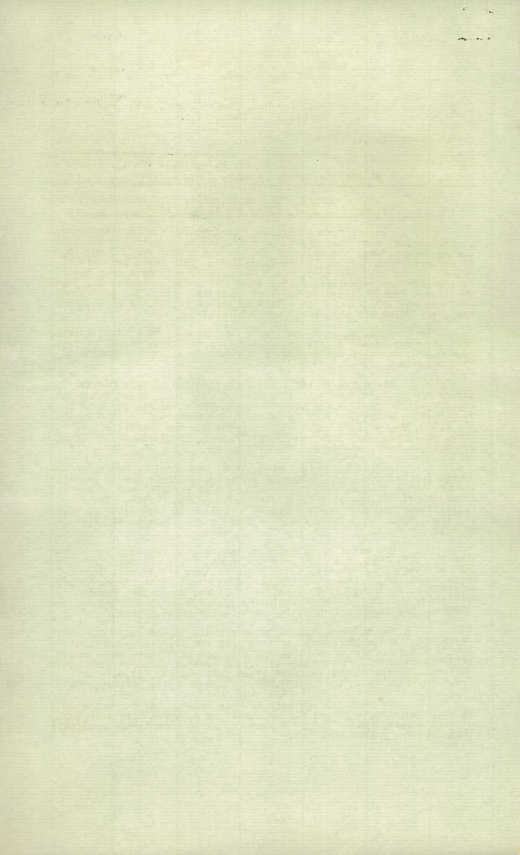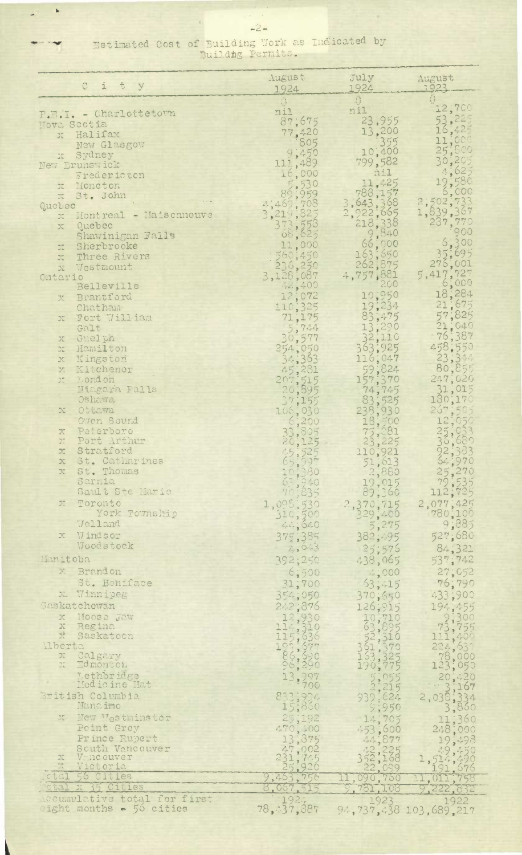

## Estimated Cost of Building Work as Indicated by

 $\mathbf{K}$ 

| $C_i$ i t $y$                                                        | August                                                                     | July                                                                                 | August<br>1923                                                                            |
|----------------------------------------------------------------------|----------------------------------------------------------------------------|--------------------------------------------------------------------------------------|-------------------------------------------------------------------------------------------|
|                                                                      | 1924                                                                       | 1924<br>$\mathbb{S}$                                                                 |                                                                                           |
| P.H.I. - Charlottetown                                               | nil                                                                        | nil                                                                                  | 12,700                                                                                    |
| Nova Sectia                                                          | 87,675                                                                     | 23,955                                                                               | 53,225                                                                                    |
| x Halifax                                                            | 77,420                                                                     | 13,200                                                                               | 16,425                                                                                    |
| New Glasgow                                                          | 805                                                                        | 355                                                                                  | 11,000                                                                                    |
| Sydney<br>$\mathbb{Z}_m^+$                                           | 9,450<br>111,489                                                           | 10,400<br>799,582                                                                    |                                                                                           |
| New Brunswick<br>Fredericton                                         | 16,000                                                                     | nil                                                                                  | 30:205                                                                                    |
| it Moncton                                                           | 5,530                                                                      | 11,425                                                                               | 19:<br>580                                                                                |
| St. John<br>$\frac{11}{\sqrt{3}m}$                                   | 89,959                                                                     | 788,157                                                                              | $2,502,733$<br>$1,839,367$<br>$237,770$                                                   |
| Quebec                                                               | 4.1459.708                                                                 |                                                                                      |                                                                                           |
| x Hontreal - Maiscnneuve                                             | 3,219,825<br>373,558                                                       | 2, 222, 665<br>218, 338<br>66, 000<br>63, 650<br>262, 875<br>262, 882<br>4, 757, 881 |                                                                                           |
| x Quebec<br>Shawinigan Falls                                         | 68,625                                                                     |                                                                                      | 900                                                                                       |
| <b>I</b> Sherbrooke                                                  | 11,000                                                                     |                                                                                      |                                                                                           |
| x Three Rivers                                                       | :560;450                                                                   |                                                                                      |                                                                                           |
| x Westmount                                                          | 236,250                                                                    |                                                                                      |                                                                                           |
| Ontario<br>Belleville                                                | 3,128,087                                                                  |                                                                                      | $\begin{array}{r} 6,300 \\ 35,695 \\ 276,001 \\ 5,417,727 \\ 6,000 \\ 8,000 \end{array}$  |
| x Brantford                                                          | 42,400<br>12,072                                                           |                                                                                      | 18,284                                                                                    |
| Chatham                                                              | 110,325                                                                    |                                                                                      |                                                                                           |
| Fort William<br>$2\overline{z}$                                      | 71, 175                                                                    | 10:950<br>19:234<br>83:475<br>13:290                                                 | 21,675<br>57,825<br>21,640<br>76,387<br>458,550                                           |
| Galt                                                                 | 5,744                                                                      |                                                                                      |                                                                                           |
| Guelph<br>$\mathcal{N}$<br>Hamilton                                  | 30,577                                                                     | 32,110                                                                               |                                                                                           |
| $\frac{1}{\sqrt{L}}$<br>Kingston<br>$\mathbb{X}$                     | 254,050<br>34.363                                                          | 363,925<br>116,047                                                                   | 23,344                                                                                    |
| $\mathcal{L}$<br>Kitchener                                           | 45,231                                                                     | 59;824                                                                               | 80,855                                                                                    |
| Tond on<br>$\mathbb{Z}_+^{\mu}$                                      | 207,515                                                                    | 157,370                                                                              | 247,020                                                                                   |
| Niagara Falls                                                        | 20, 895                                                                    | 74,745                                                                               | 31,015                                                                                    |
| Oshawa<br>Ottawa                                                     |                                                                            | 83,525                                                                               | 130;1<br>267                                                                              |
| $\propto$<br>Owen Sound                                              | 106,030                                                                    | 238,930<br>18,500<br>75,281<br>23,2225                                               | ;505<br>12,0                                                                              |
| Peterboro<br>$\mathbb X$                                             |                                                                            |                                                                                      | 2334383<br>343833<br>344383<br>34425,270<br>25,7235                                       |
| Port Arthur<br>$\mathbb{Z}_+^{\#}$                                   | 33:805<br>20:125<br>45:525                                                 |                                                                                      |                                                                                           |
| Stratford<br>$\mathbb{R}^2_+$                                        |                                                                            | 110,921<br>51,613                                                                    |                                                                                           |
| St. Catharines<br>$\mathbb{X}$<br>St. Thomas<br>$\mathbb{X}^{\circ}$ | 80                                                                         |                                                                                      |                                                                                           |
| Sarnia                                                               |                                                                            | 2,880                                                                                |                                                                                           |
| Sault Ste Marie                                                      | $\frac{10}{10}$ , $\frac{330}{940}$                                        | $\frac{19}{83}$ ; 360                                                                |                                                                                           |
| Toronto<br>$\overline{\mathcal{I}}^n_+$                              | 1,095,530                                                                  | 2,370,715                                                                            | 2,077,425                                                                                 |
| York Township                                                        | 310,500                                                                    | 329,400                                                                              | 780,100                                                                                   |
| Welland                                                              | 44.3640                                                                    | 5,2.75                                                                               | 9;885                                                                                     |
| Windsor<br>X<br>Woodstock                                            | 375,385                                                                    | 382,495                                                                              | 527;680                                                                                   |
| Hunitoba                                                             | 4,0.3                                                                      | 25:576                                                                               | 84,321                                                                                    |
| x Brandon                                                            | 392;250                                                                    | 438,065                                                                              | 537,742                                                                                   |
| St. Boniface                                                         | 6;500                                                                      | $\therefore$ 000                                                                     | 27:052<br>76;790                                                                          |
| x Winnipeg                                                           | 31,700<br>354,050                                                          | $63; -15$<br>370;650                                                                 | 433;900                                                                                   |
| Saskatchewan                                                         | 242,876                                                                    | 126;915                                                                              |                                                                                           |
| x Hoose Jaw                                                          |                                                                            |                                                                                      | $\begin{array}{r} 194,455 \\ 9,300 \\ 73,755 \\ 111,400 \\ 224,637 \\ 32,900 \end{array}$ |
| x Regina                                                             |                                                                            |                                                                                      |                                                                                           |
| x Saskatoon                                                          |                                                                            |                                                                                      |                                                                                           |
| <i>ilberta</i><br>x Calgary                                          |                                                                            |                                                                                      |                                                                                           |
| x Edmonton                                                           | $12,930$<br>$11,5,310$<br>$11,5,636$<br>$19,637$<br>$19,6390$<br>$96,8990$ | 100333255                                                                            | 123,000                                                                                   |
| Lethbridge<br>Hedicine Hat                                           | 13,297                                                                     | $5:055$<br>$2:215$                                                                   | $20;420$<br>$-3;167$                                                                      |
| British Columbia                                                     |                                                                            |                                                                                      |                                                                                           |
| Manaimo                                                              | 863;904<br>15,860                                                          | 939:624<br>9,950                                                                     | $2,035,334$<br>3,830                                                                      |
| x New Westminster                                                    | 29,192                                                                     | 14,705                                                                               | 11,360                                                                                    |
| Point Grey                                                           | 470,100                                                                    |                                                                                      |                                                                                           |
| Prince Rupert                                                        | 13,375                                                                     | $-44,877$                                                                            | 248,000                                                                                   |
| South Vancouver<br>Vancouver<br>$\mathbb{X}$                         | 47,002                                                                     |                                                                                      | $\frac{50}{90}$                                                                           |
| Victoria                                                             | 231,745                                                                    |                                                                                      | 1, 51, 5<br>576                                                                           |
| ctal 56 Cities                                                       | 9,463,756<br>8,067,515                                                     | 352,225<br>11                                                                        | 11,011,758                                                                                |
| otal x 35 Cities                                                     |                                                                            | 731,103<br>9.                                                                        | 9,222,832                                                                                 |
| lecumulative total for first<br>eight months - 56 cities             | 92.7<br>7.88                                                               |                                                                                      | .689.217                                                                                  |